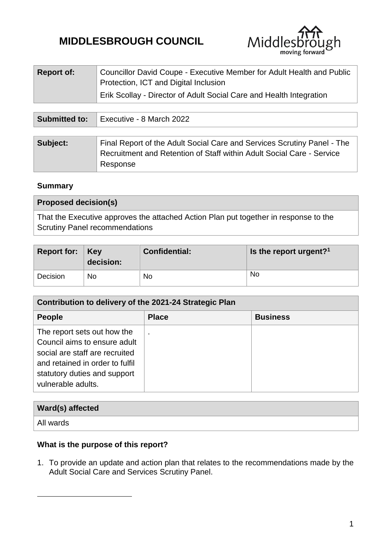# **MIDDLESBROUGH COUNCIL**



| <b>Report of:</b> | Councillor David Coupe - Executive Member for Adult Health and Public<br>Protection, ICT and Digital Inclusion |
|-------------------|----------------------------------------------------------------------------------------------------------------|
|                   | Erik Scollay - Director of Adult Social Care and Health Integration                                            |

| <b>Submitted to:</b> | Executive - 8 March 2022                                                                                                                                     |  |
|----------------------|--------------------------------------------------------------------------------------------------------------------------------------------------------------|--|
|                      |                                                                                                                                                              |  |
| Subject:             | Final Report of the Adult Social Care and Services Scrutiny Panel - The<br>Recruitment and Retention of Staff within Adult Social Care - Service<br>Response |  |

## **Summary**

| <b>Proposed decision(s)</b>                                                                                                   |
|-------------------------------------------------------------------------------------------------------------------------------|
| That the Executive approves the attached Action Plan put together in response to the<br><b>Scrutiny Panel recommendations</b> |

| Report for: $\vert$ Key | decision: | <b>Confidential:</b> | Is the report urgent? <sup>1</sup> |
|-------------------------|-----------|----------------------|------------------------------------|
| Decision                | No        | No                   | No                                 |

| Contribution to delivery of the 2021-24 Strategic Plan                                                                                                                                 |                |                 |
|----------------------------------------------------------------------------------------------------------------------------------------------------------------------------------------|----------------|-----------------|
| <b>People</b>                                                                                                                                                                          | <b>Place</b>   | <b>Business</b> |
| The report sets out how the<br>Council aims to ensure adult<br>social are staff are recruited<br>and retained in order to fulfil<br>statutory duties and support<br>vulnerable adults. | $\blacksquare$ |                 |

| Ward(s) affected |  |
|------------------|--|
| All wards        |  |

## **What is the purpose of this report?**

1

1. To provide an update and action plan that relates to the recommendations made by the Adult Social Care and Services Scrutiny Panel.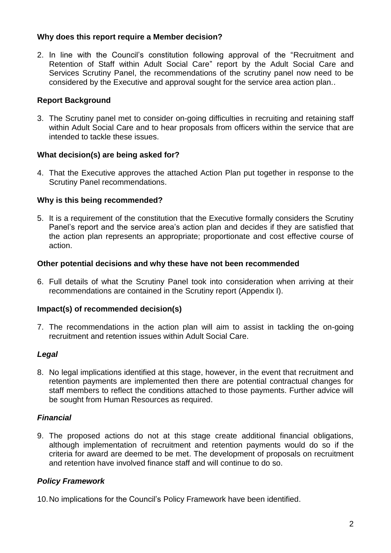## **Why does this report require a Member decision?**

2. In line with the Council's constitution following approval of the "Recruitment and Retention of Staff within Adult Social Care" report by the Adult Social Care and Services Scrutiny Panel, the recommendations of the scrutiny panel now need to be considered by the Executive and approval sought for the service area action plan..

## **Report Background**

3. The Scrutiny panel met to consider on-going difficulties in recruiting and retaining staff within Adult Social Care and to hear proposals from officers within the service that are intended to tackle these issues.

## **What decision(s) are being asked for?**

4. That the Executive approves the attached Action Plan put together in response to the Scrutiny Panel recommendations.

## **Why is this being recommended?**

5. It is a requirement of the constitution that the Executive formally considers the Scrutiny Panel's report and the service area's action plan and decides if they are satisfied that the action plan represents an appropriate; proportionate and cost effective course of action.

#### **Other potential decisions and why these have not been recommended**

6. Full details of what the Scrutiny Panel took into consideration when arriving at their recommendations are contained in the Scrutiny report (Appendix I).

#### **Impact(s) of recommended decision(s)**

7. The recommendations in the action plan will aim to assist in tackling the on-going recruitment and retention issues within Adult Social Care.

#### *Legal*

8. No legal implications identified at this stage, however, in the event that recruitment and retention payments are implemented then there are potential contractual changes for staff members to reflect the conditions attached to those payments. Further advice will be sought from Human Resources as required.

#### *Financial*

9. The proposed actions do not at this stage create additional financial obligations, although implementation of recruitment and retention payments would do so if the criteria for award are deemed to be met. The development of proposals on recruitment and retention have involved finance staff and will continue to do so.

## *Policy Framework*

10.No implications for the Council's Policy Framework have been identified.